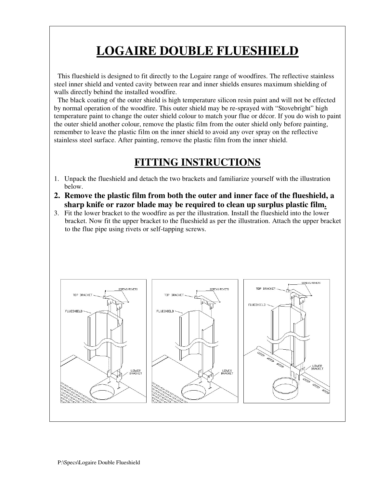## **LOGAIRE DOUBLE FLUESHIELD**

This flueshield is designed to fit directly to the Logaire range of woodfires. The reflective stainless steel inner shield and vented cavity between rear and inner shields ensures maximum shielding of walls directly behind the installed woodfire.

The black coating of the outer shield is high temperature silicon resin paint and will not be effected by normal operation of the woodfire. This outer shield may be re-sprayed with "Stovebright" high temperature paint to change the outer shield colour to match your flue or décor. If you do wish to paint the outer shield another colour, remove the plastic film from the outer shield only before painting, remember to leave the plastic film on the inner shield to avoid any over spray on the reflective stainless steel surface. After painting, remove the plastic film from the inner shield.

## **FITTING INSTRUCTIONS**

- 1. Unpack the flueshield and detach the two brackets and familiarize yourself with the illustration below.
- **2. Remove the plastic film from both the outer and inner face of the flueshield, a sharp knife or razor blade may be required to clean up surplus plastic film.**
- 3. Fit the lower bracket to the woodfire as per the illustration. Install the flueshield into the lower bracket. Now fit the upper bracket to the flueshield as per the illustration. Attach the upper bracket to the flue pipe using rivets or self-tapping screws.